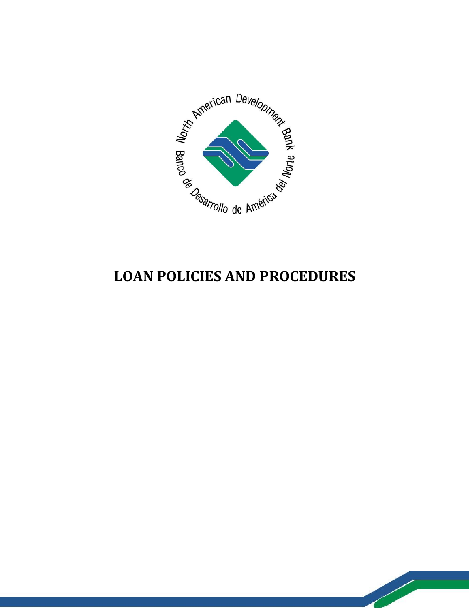

# **LOAN POLICIES AND PROCEDURES**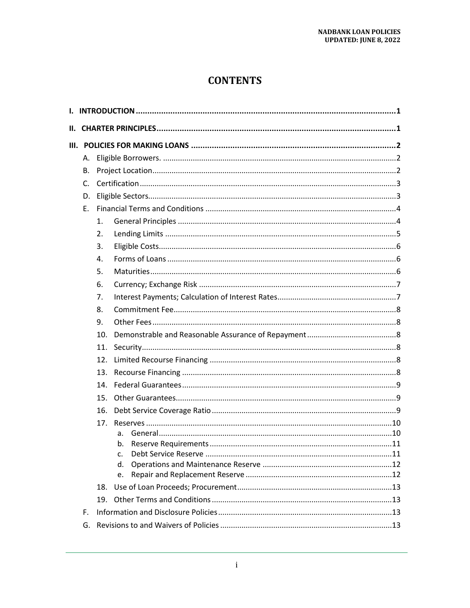# **CONTENTS**

| Н. |                |     |          |  |  |  |  |  |
|----|----------------|-----|----------|--|--|--|--|--|
|    |                |     |          |  |  |  |  |  |
|    | А.             |     |          |  |  |  |  |  |
|    | В.             |     |          |  |  |  |  |  |
|    | $\mathsf{C}$ . |     |          |  |  |  |  |  |
|    | D.             |     |          |  |  |  |  |  |
|    | Ε.             |     |          |  |  |  |  |  |
|    |                | 1.  |          |  |  |  |  |  |
|    |                | 2.  |          |  |  |  |  |  |
|    |                | 3.  |          |  |  |  |  |  |
|    |                | 4.  |          |  |  |  |  |  |
|    |                | 5.  |          |  |  |  |  |  |
|    |                | 6.  |          |  |  |  |  |  |
|    |                | 7.  |          |  |  |  |  |  |
|    |                | 8.  |          |  |  |  |  |  |
|    |                | 9.  |          |  |  |  |  |  |
|    |                | 10. |          |  |  |  |  |  |
|    | 11.            |     |          |  |  |  |  |  |
|    | 12.            |     |          |  |  |  |  |  |
|    | 13.            |     |          |  |  |  |  |  |
|    |                | 14. |          |  |  |  |  |  |
|    |                | 15. |          |  |  |  |  |  |
|    |                | 16. |          |  |  |  |  |  |
|    |                |     |          |  |  |  |  |  |
|    |                |     | a.       |  |  |  |  |  |
|    |                |     | b.<br>c. |  |  |  |  |  |
|    |                |     | d.       |  |  |  |  |  |
|    |                |     | e.       |  |  |  |  |  |
|    | 18.            |     |          |  |  |  |  |  |
|    |                | 19. |          |  |  |  |  |  |
|    | F.             |     |          |  |  |  |  |  |
|    | G.             |     |          |  |  |  |  |  |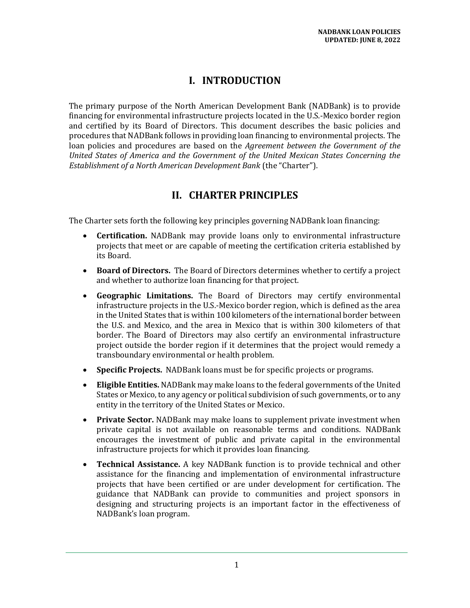### **I. INTRODUCTION**

<span id="page-4-0"></span>The primary purpose of the North American Development Bank (NADBank) is to provide financing for environmental infrastructure projects located in the U.S.-Mexico border region and certified by its Board of Directors. This document describes the basic policies and procedures that NADBank follows in providing loan financing to environmental projects. The loan policies and procedures are based on the *Agreement between the Government of the United States of America and the Government of the United Mexican States Concerning the Establishment of a North American Development Bank* (the "Charter").

### **II. CHARTER PRINCIPLES**

<span id="page-4-1"></span>The Charter sets forth the following key principles governing NADBank loan financing:

- **Certification.** NADBank may provide loans only to environmental infrastructure projects that meet or are capable of meeting the certification criteria established by its Board.
- **Board of Directors.** The Board of Directors determines whether to certify a project and whether to authorize loan financing for that project.
- **Geographic Limitations.** The Board of Directors may certify environmental infrastructure projects in the U.S.-Mexico border region, which is defined as the area in the United States that is within 100 kilometers of the international border between the U.S. and Mexico, and the area in Mexico that is within 300 kilometers of that border. The Board of Directors may also certify an environmental infrastructure project outside the border region if it determines that the project would remedy a transboundary environmental or health problem.
- **Specific Projects.** NADBank loans must be for specific projects or programs.
- **Eligible Entities.** NADBank may make loans to the federal governments of the United States or Mexico, to any agency or political subdivision of such governments, or to any entity in the territory of the United States or Mexico.
- **Private Sector.** NADBank may make loans to supplement private investment when private capital is not available on reasonable terms and conditions. NADBank encourages the investment of public and private capital in the environmental infrastructure projects for which it provides loan financing.
- **Technical Assistance.** A key NADBank function is to provide technical and other assistance for the financing and implementation of environmental infrastructure projects that have been certified or are under development for certification. The guidance that NADBank can provide to communities and project sponsors in designing and structuring projects is an important factor in the effectiveness of NADBank's loan program.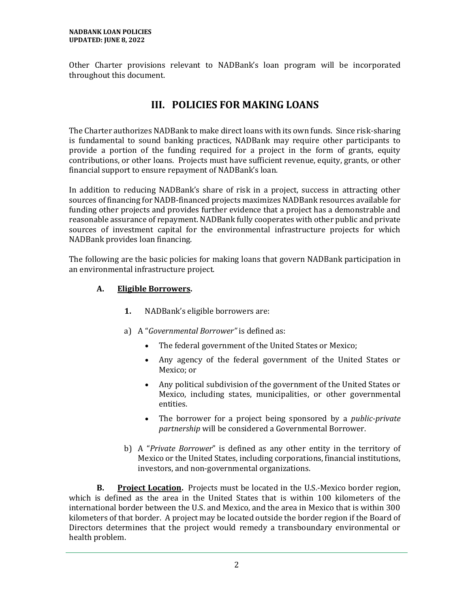<span id="page-5-0"></span>Other Charter provisions relevant to NADBank's loan program will be incorporated throughout this document.

# **III. POLICIES FOR MAKING LOANS**

The Charter authorizes NADBank to make direct loans with its own funds. Since risk-sharing is fundamental to sound banking practices, NADBank may require other participants to provide a portion of the funding required for a project in the form of grants, equity contributions, or other loans. Projects must have sufficient revenue, equity, grants, or other financial support to ensure repayment of NADBank's loan.

In addition to reducing NADBank's share of risk in a project, success in attracting other sources of financing for NADB-financed projects maximizes NADBank resources available for funding other projects and provides further evidence that a project has a demonstrable and reasonable assurance of repayment. NADBank fully cooperates with other public and private sources of investment capital for the environmental infrastructure projects for which NADBank provides loan financing.

The following are the basic policies for making loans that govern NADBank participation in an environmental infrastructure project.

#### <span id="page-5-1"></span>**A. Eligible Borrowers.**

- **1.** NADBank's eligible borrowers are:
- a) A "*Governmental Borrower"* is defined as:
	- The federal government of the United States or Mexico;
	- Any agency of the federal government of the United States or Mexico; or
	- Any political subdivision of the government of the United States or Mexico, including states, municipalities, or other governmental entities.
	- The borrower for a project being sponsored by a *public-private partnership* will be considered a Governmental Borrower.
- b) A "*Private Borrower*" is defined as any other entity in the territory of Mexico or the United States, including corporations, financial institutions, investors, and non-governmental organizations.

<span id="page-5-2"></span>**B. Project Location.** Projects must be located in the U.S.-Mexico border region, which is defined as the area in the United States that is within 100 kilometers of the international border between the U.S. and Mexico, and the area in Mexico that is within 300 kilometers of that border. A project may be located outside the border region if the Board of Directors determines that the project would remedy a transboundary environmental or health problem.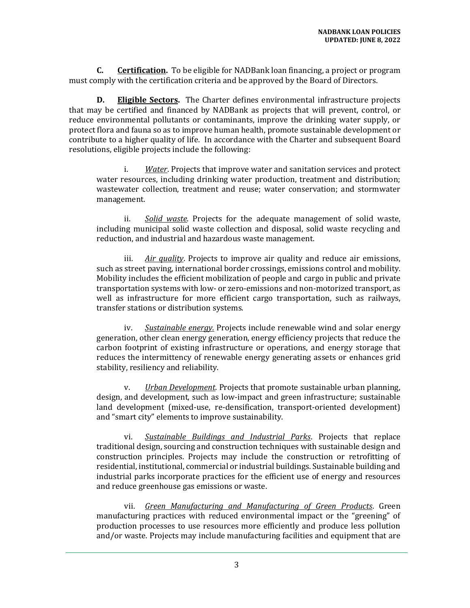<span id="page-6-0"></span>**C. Certification.** To be eligible for NADBank loan financing, a project or program must comply with the certification criteria and be approved by the Board of Directors.

<span id="page-6-1"></span>**D. Eligible Sectors.** The Charter defines environmental infrastructure projects that may be certified and financed by NADBank as projects that will prevent, control, or reduce environmental pollutants or contaminants, improve the drinking water supply, or protect flora and fauna so as to improve human health, promote sustainable development or contribute to a higher quality of life. In accordance with the Charter and subsequent Board resolutions, eligible projects include the following:

i. *Water*. Projects that improve water and sanitation services and protect water resources, including drinking water production, treatment and distribution; wastewater collection, treatment and reuse; water conservation; and stormwater management.

ii. *Solid waste*. Projects for the adequate management of solid waste, including municipal solid waste collection and disposal, solid waste recycling and reduction, and industrial and hazardous waste management.

iii. *Air quality*. Projects to improve air quality and reduce air emissions, such as street paving, international border crossings, emissions control and mobility. Mobility includes the efficient mobilization of people and cargo in public and private transportation systems with low- or zero-emissions and non-motorized transport, as well as infrastructure for more efficient cargo transportation, such as railways, transfer stations or distribution systems.

iv. *Sustainable energy.* Projects include renewable wind and solar energy generation, other clean energy generation, energy efficiency projects that reduce the carbon footprint of existing infrastructure or operations, and energy storage that reduces the intermittency of renewable energy generating assets or enhances grid stability, resiliency and reliability.

v. *Urban Development*. Projects that promote sustainable urban planning, design, and development, such as low-impact and green infrastructure; sustainable land development (mixed-use, re-densification, transport-oriented development) and "smart city" elements to improve sustainability.

vi. *Sustainable Buildings and Industrial Parks*. Projects that replace traditional design, sourcing and construction techniques with sustainable design and construction principles. Projects may include the construction or retrofitting of residential, institutional, commercial or industrial buildings. Sustainable building and industrial parks incorporate practices for the efficient use of energy and resources and reduce greenhouse gas emissions or waste.

vii. *Green Manufacturing and Manufacturing of Green Products*. Green manufacturing practices with reduced environmental impact or the "greening" of production processes to use resources more efficiently and produce less pollution and/or waste. Projects may include manufacturing facilities and equipment that are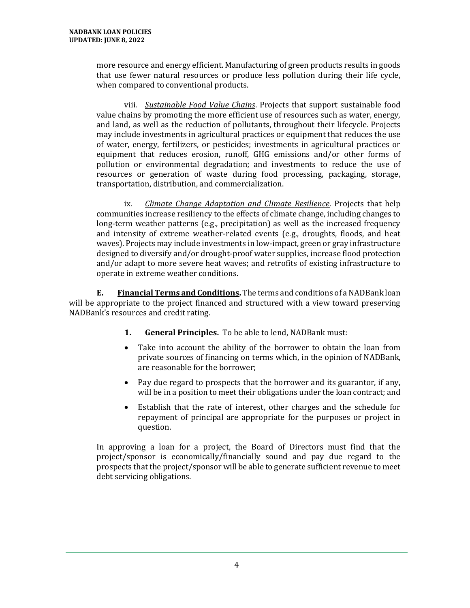more resource and energy efficient. Manufacturing of green products results in goods that use fewer natural resources or produce less pollution during their life cycle, when compared to conventional products.

viii. *Sustainable Food Value Chains*. Projects that support sustainable food value chains by promoting the more efficient use of resources such as water, energy, and land, as well as the reduction of pollutants, throughout their lifecycle. Projects may include investments in agricultural practices or equipment that reduces the use of water, energy, fertilizers, or pesticides; investments in agricultural practices or equipment that reduces erosion, runoff, GHG emissions and/or other forms of pollution or environmental degradation; and investments to reduce the use of resources or generation of waste during food processing, packaging, storage, transportation, distribution, and commercialization.

ix. *Climate Change Adaptation and Climate Resilience*. Projects that help communities increase resiliency to the effects of climate change, including changes to long-term weather patterns (e.g., precipitation) as well as the increased frequency and intensity of extreme weather-related events (e.g., droughts, floods, and heat waves). Projects may include investments in low-impact, green or gray infrastructure designed to diversify and/or drought-proof water supplies, increase flood protection and/or adapt to more severe heat waves; and retrofits of existing infrastructure to operate in extreme weather conditions.

<span id="page-7-1"></span><span id="page-7-0"></span>**E. Financial Terms and Conditions.** The terms and conditions of a NADBank loan will be appropriate to the project financed and structured with a view toward preserving NADBank's resources and credit rating.

- **1. General Principles.** To be able to lend, NADBank must:
- Take into account the ability of the borrower to obtain the loan from private sources of financing on terms which, in the opinion of NADBank, are reasonable for the borrower;
- Pay due regard to prospects that the borrower and its guarantor, if any, will be in a position to meet their obligations under the loan contract; and
- Establish that the rate of interest, other charges and the schedule for repayment of principal are appropriate for the purposes or project in question.

<span id="page-7-2"></span>In approving a loan for a project, the Board of Directors must find that the project/sponsor is economically/financially sound and pay due regard to the prospects that the project/sponsor will be able to generate sufficient revenue to meet debt servicing obligations.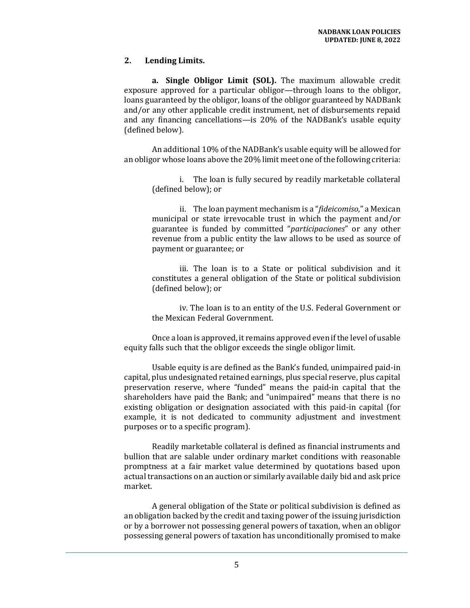#### **2. Lending Limits.**

**a. Single Obligor Limit (SOL).** The maximum allowable credit exposure approved for a particular obligor—through loans to the obligor, loans guaranteed by the obligor, loans of the obligor guaranteed by NADBank and/or any other applicable credit instrument, net of disbursements repaid and any financing cancellations—is 20% of the NADBank's usable equity (defined below).

An additional 10% of the NADBank's usable equity will be allowed for an obligor whose loans above the 20% limit meet one of the following criteria:

i. The loan is fully secured by readily marketable collateral (defined below); or

ii. The loan payment mechanism is a "*fideicomiso*," a Mexican municipal or state irrevocable trust in which the payment and/or guarantee is funded by committed "*participaciones*" or any other revenue from a public entity the law allows to be used as source of payment or guarantee; or

iii. The loan is to a State or political subdivision and it constitutes a general obligation of the State or political subdivision (defined below); or

iv. The loan is to an entity of the U.S. Federal Government or the Mexican Federal Government.

Once a loan is approved, it remains approved even if the level of usable equity falls such that the obligor exceeds the single obligor limit.

Usable equity is are defined as the Bank's funded, unimpaired paid-in capital, plus undesignated retained earnings, plus special reserve, plus capital preservation reserve, where "funded" means the paid-in capital that the shareholders have paid the Bank; and "unimpaired" means that there is no existing obligation or designation associated with this paid-in capital (for example, it is not dedicated to community adjustment and investment purposes or to a specific program).

Readily marketable collateral is defined as financial instruments and bullion that are salable under ordinary market conditions with reasonable promptness at a fair market value determined by quotations based upon actual transactions on an auction or similarly available daily bid and ask price market.

A general obligation of the State or political subdivision is defined as an obligation backed by the credit and taxing power of the issuing jurisdiction or by a borrower not possessing general powers of taxation, when an obligor possessing general powers of taxation has unconditionally promised to make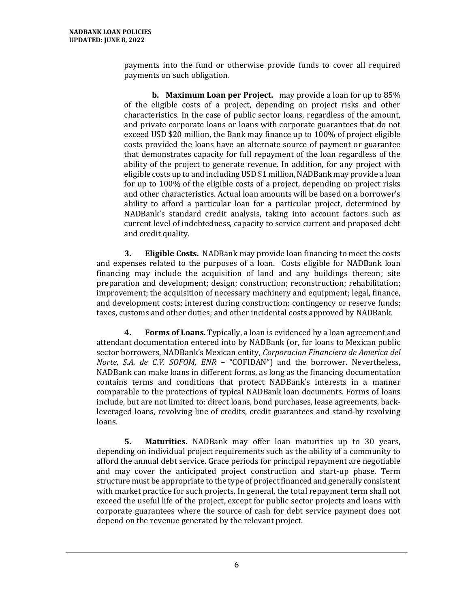payments into the fund or otherwise provide funds to cover all required payments on such obligation.

**b. Maximum Loan per Project.** may provide a loan for up to 85% of the eligible costs of a project, depending on project risks and other characteristics. In the case of public sector loans, regardless of the amount, and private corporate loans or loans with corporate guarantees that do not exceed USD \$20 million, the Bank may finance up to 100% of project eligible costs provided the loans have an alternate source of payment or guarantee that demonstrates capacity for full repayment of the loan regardless of the ability of the project to generate revenue. In addition, for any project with eligible costs up to and including USD \$1 million, NADBank may provide a loan for up to 100% of the eligible costs of a project, depending on project risks and other characteristics. Actual loan amounts will be based on a borrower's ability to afford a particular loan for a particular project, determined by NADBank's standard credit analysis, taking into account factors such as current level of indebtedness, capacity to service current and proposed debt and credit quality.

<span id="page-9-0"></span>**3. Eligible Costs.** NADBank may provide loan financing to meet the costs and expenses related to the purposes of a loan. Costs eligible for NADBank loan financing may include the acquisition of land and any buildings thereon; site preparation and development; design; construction; reconstruction; rehabilitation; improvement; the acquisition of necessary machinery and equipment; legal, finance, and development costs; interest during construction; contingency or reserve funds; taxes, customs and other duties; and other incidental costs approved by NADBank.

<span id="page-9-1"></span>**4. Forms of Loans.** Typically, a loan is evidenced by a loan agreement and attendant documentation entered into by NADBank (or, for loans to Mexican public sector borrowers, NADBank's Mexican entity, *Corporacion Financiera de America del Norte, S.A. de C.V. SOFOM, ENR* – "COFIDAN") and the borrower. Nevertheless, NADBank can make loans in different forms, as long as the financing documentation contains terms and conditions that protect NADBank's interests in a manner comparable to the protections of typical NADBank loan documents. Forms of loans include, but are not limited to: direct loans, bond purchases, lease agreements, backleveraged loans, revolving line of credits, credit guarantees and stand-by revolving loans.

<span id="page-9-3"></span><span id="page-9-2"></span>**5. Maturities.** NADBank may offer loan maturities up to 30 years, depending on individual project requirements such as the ability of a community to afford the annual debt service. Grace periods for principal repayment are negotiable and may cover the anticipated project construction and start-up phase. Term structure must be appropriate to the type of project financed and generally consistent with market practice for such projects. In general, the total repayment term shall not exceed the useful life of the project, except for public sector projects and loans with corporate guarantees where the source of cash for debt service payment does not depend on the revenue generated by the relevant project.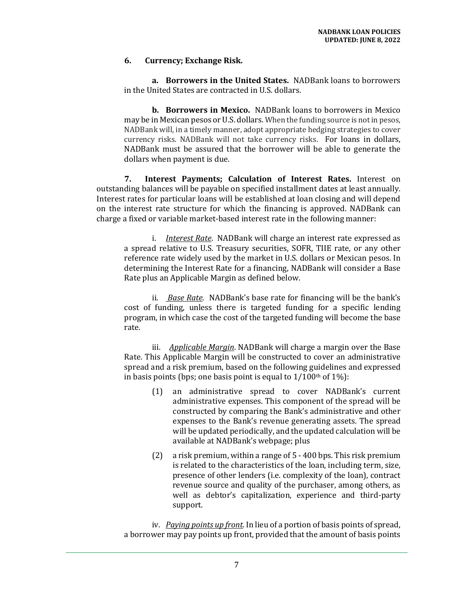#### **6. Currency; Exchange Risk.**

**a. Borrowers in the United States.** NADBank loans to borrowers in the United States are contracted in U.S. dollars.

**b. Borrowers in Mexico.** NADBank loans to borrowers in Mexico may be in Mexican pesos or U.S. dollars. When the funding source is not in pesos, NADBank will, in a timely manner, adopt appropriate hedging strategies to cover currency risks. NADBank will not take currency risks. For loans in dollars, NADBank must be assured that the borrower will be able to generate the dollars when payment is due.

<span id="page-10-0"></span>**7. Interest Payments; Calculation of Interest Rates.** Interest on outstanding balances will be payable on specified installment dates at least annually. Interest rates for particular loans will be established at loan closing and will depend on the interest rate structure for which the financing is approved. NADBank can charge a fixed or variable market-based interest rate in the following manner:

i. *Interest Rate*. NADBank will charge an interest rate expressed as a spread relative to U.S. Treasury securities, SOFR, TIIE rate, or any other reference rate widely used by the market in U.S. dollars or Mexican pesos. In determining the Interest Rate for a financing, NADBank will consider a Base Rate plus an Applicable Margin as defined below.

ii. *Base Rate.* NADBank's base rate for financing will be the bank's cost of funding, unless there is targeted funding for a specific lending program, in which case the cost of the targeted funding will become the base rate.

iii. *Applicable Margin*. NADBank will charge a margin over the Base Rate. This Applicable Margin will be constructed to cover an administrative spread and a risk premium, based on the following guidelines and expressed in basis points (bps; one basis point is equal to  $1/100$ <sup>th</sup> of  $1\%$ ):

- (1) an administrative spread to cover NADBank's current administrative expenses. This component of the spread will be constructed by comparing the Bank's administrative and other expenses to the Bank's revenue generating assets. The spread will be updated periodically, and the updated calculation will be available at NADBank's webpage; plus
- (2) a risk premium, within a range of 5 400 bps. This risk premium is related to the characteristics of the loan, including term, size, presence of other lenders (i.e. complexity of the loan), contract revenue source and quality of the purchaser, among others, as well as debtor's capitalization, experience and third-party support.

iv. *Paying points up front*. In lieu of a portion of basis points of spread, a borrower may pay points up front, provided that the amount of basis points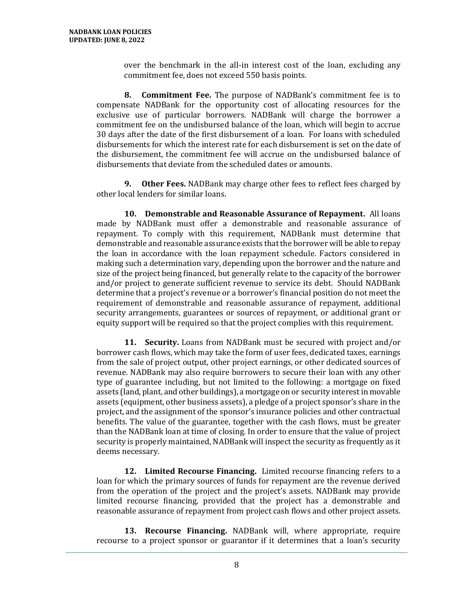over the benchmark in the all-in interest cost of the loan, excluding any commitment fee, does not exceed 550 basis points.

<span id="page-11-0"></span>**8. Commitment Fee.** The purpose of NADBank's commitment fee is to compensate NADBank for the opportunity cost of allocating resources for the exclusive use of particular borrowers. NADBank will charge the borrower a commitment fee on the undisbursed balance of the loan, which will begin to accrue 30 days after the date of the first disbursement of a loan. For loans with scheduled disbursements for which the interest rate for each disbursement is set on the date of the disbursement, the commitment fee will accrue on the undisbursed balance of disbursements that deviate from the scheduled dates or amounts.

<span id="page-11-1"></span>**9. Other Fees.** NADBank may charge other fees to reflect fees charged by other local lenders for similar loans.

<span id="page-11-2"></span>**10. Demonstrable and Reasonable Assurance of Repayment.** All loans made by NADBank must offer a demonstrable and reasonable assurance of repayment. To comply with this requirement, NADBank must determine that demonstrable and reasonable assurance exists that the borrower will be able to repay the loan in accordance with the loan repayment schedule. Factors considered in making such a determination vary, depending upon the borrower and the nature and size of the project being financed, but generally relate to the capacity of the borrower and/or project to generate sufficient revenue to service its debt. Should NADBank determine that a project's revenue or a borrower's financial position do not meet the requirement of demonstrable and reasonable assurance of repayment, additional security arrangements, guarantees or sources of repayment, or additional grant or equity support will be required so that the project complies with this requirement.

<span id="page-11-3"></span>**11. Security.** Loans from NADBank must be secured with project and/or borrower cash flows, which may take the form of user fees, dedicated taxes, earnings from the sale of project output, other project earnings, or other dedicated sources of revenue. NADBank may also require borrowers to secure their loan with any other type of guarantee including, but not limited to the following: a mortgage on fixed assets (land, plant, and other buildings), a mortgage on or security interest in movable assets (equipment, other business assets), a pledge of a project sponsor's share in the project, and the assignment of the sponsor's insurance policies and other contractual benefits. The value of the guarantee, together with the cash flows, must be greater than the NADBank loan at time of closing. In order to ensure that the value of project security is properly maintained, NADBank will inspect the security as frequently as it deems necessary.

<span id="page-11-4"></span>**12. Limited Recourse Financing.** Limited recourse financing refers to a loan for which the primary sources of funds for repayment are the revenue derived from the operation of the project and the project's assets. NADBank may provide limited recourse financing, provided that the project has a demonstrable and reasonable assurance of repayment from project cash flows and other project assets.

<span id="page-11-5"></span>**13. Recourse Financing.** NADBank will, where appropriate, require recourse to a project sponsor or guarantor if it determines that a loan's security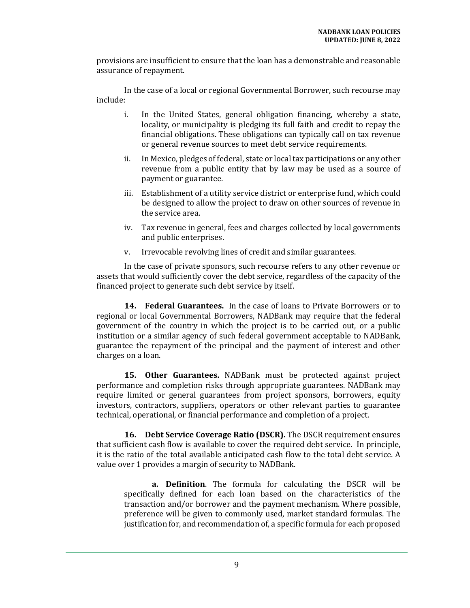provisions are insufficient to ensure that the loan has a demonstrable and reasonable assurance of repayment.

In the case of a local or regional Governmental Borrower, such recourse may include:

- i. In the United States, general obligation financing, whereby a state, locality, or municipality is pledging its full faith and credit to repay the financial obligations. These obligations can typically call on tax revenue or general revenue sources to meet debt service requirements.
- ii. In Mexico, pledges of federal, state or local tax participations or any other revenue from a public entity that by law may be used as a source of payment or guarantee.
- iii. Establishment of a utility service district or enterprise fund, which could be designed to allow the project to draw on other sources of revenue in the service area.
- iv. Tax revenue in general, fees and charges collected by local governments and public enterprises.
- v. Irrevocable revolving lines of credit and similar guarantees.

In the case of private sponsors, such recourse refers to any other revenue or assets that would sufficiently cover the debt service, regardless of the capacity of the financed project to generate such debt service by itself.

<span id="page-12-0"></span>**14. Federal Guarantees.** In the case of loans to Private Borrowers or to regional or local Governmental Borrowers, NADBank may require that the federal government of the country in which the project is to be carried out, or a public institution or a similar agency of such federal government acceptable to NADBank, guarantee the repayment of the principal and the payment of interest and other charges on a loan.

<span id="page-12-1"></span>**15. Other Guarantees.** NADBank must be protected against project performance and completion risks through appropriate guarantees. NADBank may require limited or general guarantees from project sponsors, borrowers, equity investors, contractors, suppliers, operators or other relevant parties to guarantee technical, operational, or financial performance and completion of a project.

<span id="page-12-2"></span>**16. Debt Service Coverage Ratio (DSCR).** The DSCR requirement ensures that sufficient cash flow is available to cover the required debt service. In principle, it is the ratio of the total available anticipated cash flow to the total debt service. A value over 1 provides a margin of security to NADBank.

**a. Definition**. The formula for calculating the DSCR will be specifically defined for each loan based on the characteristics of the transaction and/or borrower and the payment mechanism. Where possible, preference will be given to commonly used, market standard formulas. The justification for, and recommendation of, a specific formula for each proposed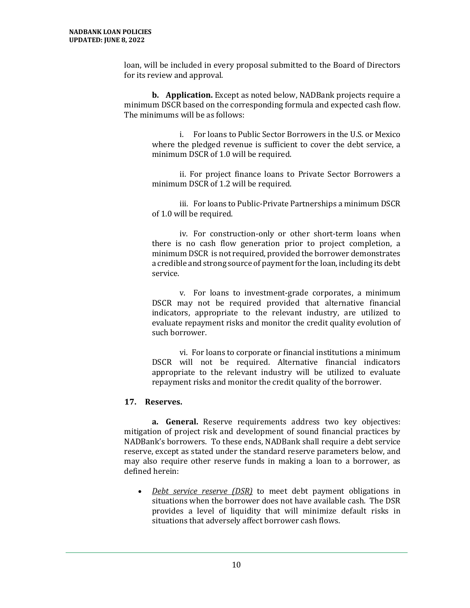loan, will be included in every proposal submitted to the Board of Directors for its review and approval.

**b. Application.** Except as noted below, NADBank projects require a minimum DSCR based on the corresponding formula and expected cash flow. The minimums will be as follows:

i. For loans to Public Sector Borrowers in the U.S. or Mexico where the pledged revenue is sufficient to cover the debt service, a minimum DSCR of 1.0 will be required.

ii. For project finance loans to Private Sector Borrowers a minimum DSCR of 1.2 will be required.

iii. For loans to Public-Private Partnerships a minimum DSCR of 1.0 will be required.

iv. For construction-only or other short-term loans when there is no cash flow generation prior to project completion, a minimum DSCR is not required, provided the borrower demonstrates a credible and strong source of payment for the loan, including its debt service.

v. For loans to investment-grade corporates, a minimum DSCR may not be required provided that alternative financial indicators, appropriate to the relevant industry, are utilized to evaluate repayment risks and monitor the credit quality evolution of such borrower.

vi. For loans to corporate or financial institutions a minimum DSCR will not be required. Alternative financial indicators appropriate to the relevant industry will be utilized to evaluate repayment risks and monitor the credit quality of the borrower.

#### <span id="page-13-0"></span>**17. Reserves.**

<span id="page-13-1"></span>**a. General.** Reserve requirements address two key objectives: mitigation of project risk and development of sound financial practices by NADBank's borrowers. To these ends, NADBank shall require a debt service reserve, except as stated under the standard reserve parameters below, and may also require other reserve funds in making a loan to a borrower, as defined herein:

• *Debt service reserve (DSR)* to meet debt payment obligations in situations when the borrower does not have available cash. The DSR provides a level of liquidity that will minimize default risks in situations that adversely affect borrower cash flows.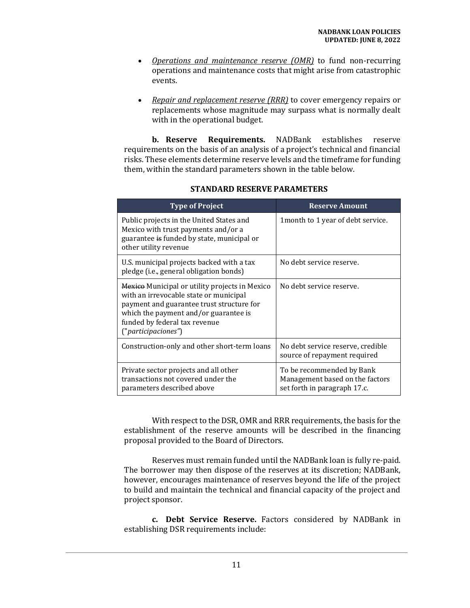- *Operations and maintenance reserve (OMR)* to fund non-recurring operations and maintenance costs that might arise from catastrophic events.
- *Repair and replacement reserve (RRR)* to cover emergency repairs or replacements whose magnitude may surpass what is normally dealt with in the operational budget.

<span id="page-14-0"></span>**b. Reserve Requirements.** NADBank establishes reserve requirements on the basis of an analysis of a project's technical and financial risks. These elements determine reserve levels and the timeframe for funding them, within the standard parameters shown in the table below.

| <b>Type of Project</b>                                                                                                                                                                                                                 | <b>Reserve Amount</b>                                                                        |
|----------------------------------------------------------------------------------------------------------------------------------------------------------------------------------------------------------------------------------------|----------------------------------------------------------------------------------------------|
| Public projects in the United States and<br>Mexico with trust payments and/or a<br>guarantee is funded by state, municipal or<br>other utility revenue                                                                                 | 1 month to 1 year of debt service.                                                           |
| U.S. municipal projects backed with a tax<br>pledge (i.e., general obligation bonds)                                                                                                                                                   | No debt service reserve.                                                                     |
| Mexico Municipal or utility projects in Mexico<br>with an irrevocable state or municipal<br>payment and guarantee trust structure for<br>which the payment and/or guarantee is<br>funded by federal tax revenue<br>("participaciones") | No debt service reserve.                                                                     |
| Construction-only and other short-term loans                                                                                                                                                                                           | No debt service reserve, credible<br>source of repayment required                            |
| Private sector projects and all other<br>transactions not covered under the<br>parameters described above                                                                                                                              | To be recommended by Bank<br>Management based on the factors<br>set forth in paragraph 17.c. |

#### **STANDARD RESERVE PARAMETERS**

With respect to the DSR, OMR and RRR requirements, the basis for the establishment of the reserve amounts will be described in the financing proposal provided to the Board of Directors.

Reserves must remain funded until the NADBank loan is fully re-paid. The borrower may then dispose of the reserves at its discretion; NADBank, however, encourages maintenance of reserves beyond the life of the project to build and maintain the technical and financial capacity of the project and project sponsor.

<span id="page-14-1"></span>**c. Debt Service Reserve.** Factors considered by NADBank in establishing DSR requirements include: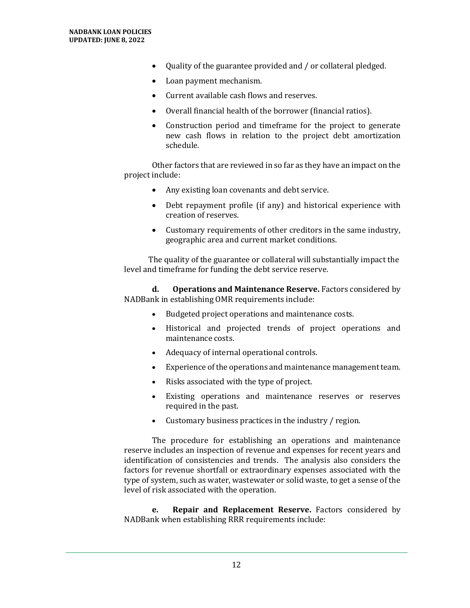- Quality of the guarantee provided and / or collateral pledged.
- Loan payment mechanism.
- Current available cash flows and reserves.
- Overall financial health of the borrower (financial ratios).
- Construction period and timeframe for the project to generate new cash flows in relation to the project debt amortization schedule.

Other factors that are reviewed in so far as they have an impact on the project include:

- Any existing loan covenants and debt service.
- Debt repayment profile (if any) and historical experience with creation of reserves.
- Customary requirements of other creditors in the same industry, geographic area and current market conditions.

The quality of the guarantee or collateral will substantially impact the level and timeframe for funding the debt service reserve.

<span id="page-15-0"></span>**d. Operations and Maintenance Reserve.** Factors considered by NADBank in establishing OMR requirements include:

- Budgeted project operations and maintenance costs.
- Historical and projected trends of project operations and maintenance costs.
- Adequacy of internal operational controls.
- Experience of the operations and maintenance management team.
- Risks associated with the type of project.
- Existing operations and maintenance reserves or reserves required in the past.
- Customary business practices in the industry / region.

The procedure for establishing an operations and maintenance reserve includes an inspection of revenue and expenses for recent years and identification of consistencies and trends. The analysis also considers the factors for revenue shortfall or extraordinary expenses associated with the type of system, such as water, wastewater or solid waste, to get a sense of the level of risk associated with the operation.

<span id="page-15-1"></span>**e. Repair and Replacement Reserve.** Factors considered by NADBank when establishing RRR requirements include: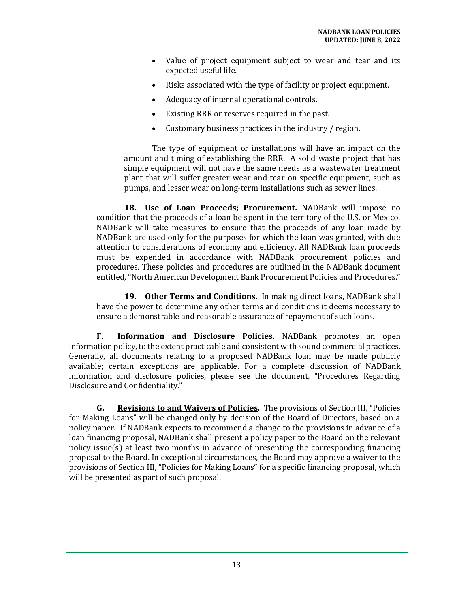- Value of project equipment subject to wear and tear and its expected useful life.
- Risks associated with the type of facility or project equipment.
- Adequacy of internal operational controls.
- Existing RRR or reserves required in the past.
- Customary business practices in the industry / region.

The type of equipment or installations will have an impact on the amount and timing of establishing the RRR. A solid waste project that has simple equipment will not have the same needs as a wastewater treatment plant that will suffer greater wear and tear on specific equipment, such as pumps, and lesser wear on long-term installations such as sewer lines.

<span id="page-16-0"></span>**18. Use of Loan Proceeds; Procurement.** NADBank will impose no condition that the proceeds of a loan be spent in the territory of the U.S. or Mexico. NADBank will take measures to ensure that the proceeds of any loan made by NADBank are used only for the purposes for which the loan was granted, with due attention to considerations of economy and efficiency. All NADBank loan proceeds must be expended in accordance with NADBank procurement policies and procedures. These policies and procedures are outlined in the NADBank document entitled, "North American Development Bank Procurement Policies and Procedures."

<span id="page-16-1"></span>**19. Other Terms and Conditions.** In making direct loans, NADBank shall have the power to determine any other terms and conditions it deems necessary to ensure a demonstrable and reasonable assurance of repayment of such loans.

<span id="page-16-2"></span>**F. Information and Disclosure Policies.** NADBank promotes an open information policy, to the extent practicable and consistent with sound commercial practices. Generally, all documents relating to a proposed NADBank loan may be made publicly available; certain exceptions are applicable. For a complete discussion of NADBank information and disclosure policies, please see the document, "Procedures Regarding Disclosure and Confidentiality."

<span id="page-16-4"></span><span id="page-16-3"></span>**G. Revisions to and Waivers of Policies.** The provisions of Section III, "Policies for Making Loans" will be changed only by decision of the Board of Directors, based on a policy paper. If NADBank expects to recommend a change to the provisions in advance of a loan financing proposal, NADBank shall present a policy paper to the Board on the relevant policy issue(s) at least two months in advance of presenting the corresponding financing proposal to the Board. In exceptional circumstances, the Board may approve a waiver to the provisions of Section III, "Policies for Making Loans" for a specific financing proposal, which will be presented as part of such proposal.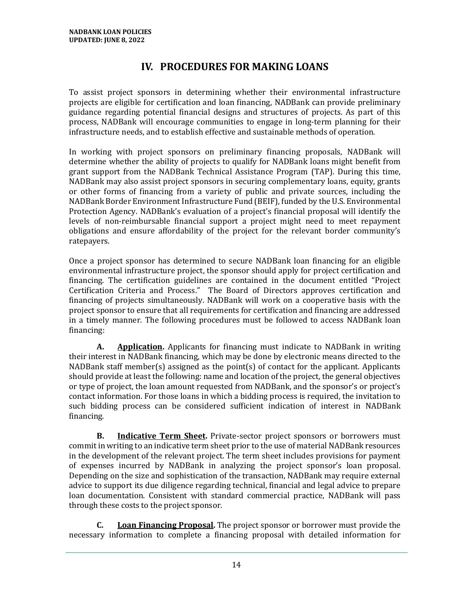# **IV. PROCEDURES FOR MAKING LOANS**

To assist project sponsors in determining whether their environmental infrastructure projects are eligible for certification and loan financing, NADBank can provide preliminary guidance regarding potential financial designs and structures of projects. As part of this process, NADBank will encourage communities to engage in long-term planning for their infrastructure needs, and to establish effective and sustainable methods of operation.

In working with project sponsors on preliminary financing proposals, NADBank will determine whether the ability of projects to qualify for NADBank loans might benefit from grant support from the NADBank Technical Assistance Program (TAP). During this time, NADBank may also assist project sponsors in securing complementary loans, equity, grants or other forms of financing from a variety of public and private sources, including the NADBank Border Environment Infrastructure Fund (BEIF), funded by the U.S. Environmental Protection Agency. NADBank's evaluation of a project's financial proposal will identify the levels of non-reimbursable financial support a project might need to meet repayment obligations and ensure affordability of the project for the relevant border community's ratepayers.

Once a project sponsor has determined to secure NADBank loan financing for an eligible environmental infrastructure project, the sponsor should apply for project certification and financing. The certification guidelines are contained in the document entitled "Project Certification Criteria and Process." The Board of Directors approves certification and financing of projects simultaneously. NADBank will work on a cooperative basis with the project sponsor to ensure that all requirements for certification and financing are addressed in a timely manner. The following procedures must be followed to access NADBank loan financing:

<span id="page-17-0"></span>**A. Application.** Applicants for financing must indicate to NADBank in writing their interest in NADBank financing, which may be done by electronic means directed to the NADBank staff member(s) assigned as the point(s) of contact for the applicant. Applicants should provide at least the following: name and location of the project, the general objectives or type of project, the loan amount requested from NADBank, and the sponsor's or project's contact information. For those loans in which a bidding process is required, the invitation to such bidding process can be considered sufficient indication of interest in NADBank financing.

<span id="page-17-1"></span>**B. Indicative Term Sheet.** Private-sector project sponsors or borrowers must commit in writing to an indicative term sheet prior to the use of material NADBank resources in the development of the relevant project. The term sheet includes provisions for payment of expenses incurred by NADBank in analyzing the project sponsor's loan proposal. Depending on the size and sophistication of the transaction, NADBank may require external advice to support its due diligence regarding technical, financial and legal advice to prepare loan documentation. Consistent with standard commercial practice, NADBank will pass through these costs to the project sponsor.

<span id="page-17-2"></span>**C. Loan Financing Proposal.** The project sponsor or borrower must provide the necessary information to complete a financing proposal with detailed information for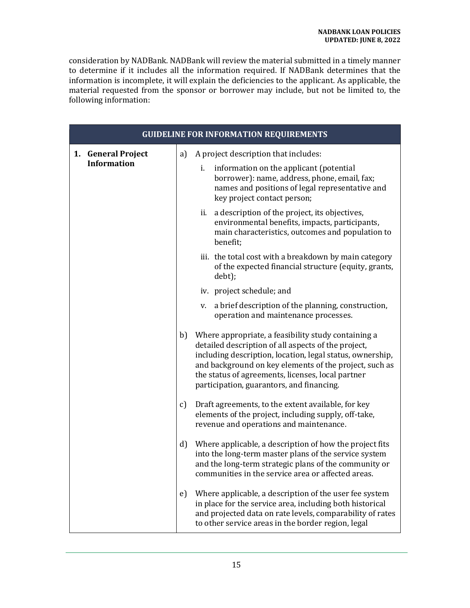consideration by NADBank. NADBank will review the material submitted in a timely manner to determine if it includes all the information required. If NADBank determines that the information is incomplete, it will explain the deficiencies to the applicant. As applicable, the material requested from the sponsor or borrower may include, but not be limited to, the following information:

| <b>GUIDELINE FOR INFORMATION REQUIREMENTS</b> |              |                                                                                                                                                                                                                                                                                                                                     |  |  |
|-----------------------------------------------|--------------|-------------------------------------------------------------------------------------------------------------------------------------------------------------------------------------------------------------------------------------------------------------------------------------------------------------------------------------|--|--|
| <b>General Project</b><br>1.                  | a)           | A project description that includes:                                                                                                                                                                                                                                                                                                |  |  |
| <b>Information</b>                            |              | information on the applicant (potential<br>i.<br>borrower): name, address, phone, email, fax;<br>names and positions of legal representative and<br>key project contact person;                                                                                                                                                     |  |  |
|                                               |              | ii. a description of the project, its objectives,<br>environmental benefits, impacts, participants,<br>main characteristics, outcomes and population to<br>benefit;                                                                                                                                                                 |  |  |
|                                               |              | iii. the total cost with a breakdown by main category<br>of the expected financial structure (equity, grants,<br>debt);                                                                                                                                                                                                             |  |  |
|                                               |              | iv. project schedule; and                                                                                                                                                                                                                                                                                                           |  |  |
|                                               |              | a brief description of the planning, construction,<br>v.<br>operation and maintenance processes.                                                                                                                                                                                                                                    |  |  |
|                                               | b)           | Where appropriate, a feasibility study containing a<br>detailed description of all aspects of the project,<br>including description, location, legal status, ownership,<br>and background on key elements of the project, such as<br>the status of agreements, licenses, local partner<br>participation, guarantors, and financing. |  |  |
|                                               | c)           | Draft agreements, to the extent available, for key<br>elements of the project, including supply, off-take,<br>revenue and operations and maintenance.                                                                                                                                                                               |  |  |
|                                               | $\mathbf{d}$ | Where applicable, a description of how the project fits<br>into the long-term master plans of the service system<br>and the long-term strategic plans of the community or<br>communities in the service area or affected areas.                                                                                                     |  |  |
|                                               | e)           | Where applicable, a description of the user fee system<br>in place for the service area, including both historical<br>and projected data on rate levels, comparability of rates<br>to other service areas in the border region, legal                                                                                               |  |  |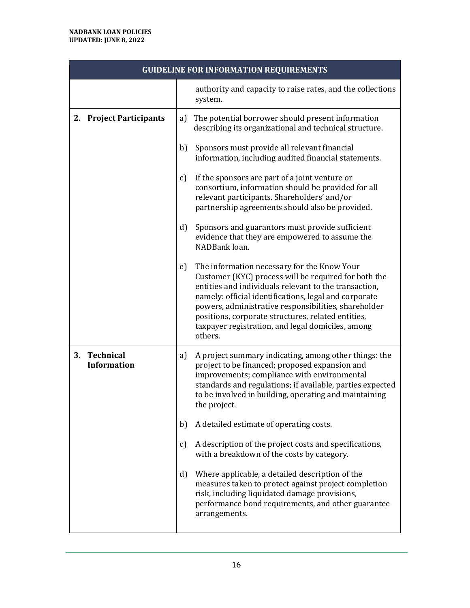|    | <b>GUIDELINE FOR INFORMATION REQUIREMENTS</b> |               |                                                                                                                                                                                                                                                                                                                                                                                                     |  |  |
|----|-----------------------------------------------|---------------|-----------------------------------------------------------------------------------------------------------------------------------------------------------------------------------------------------------------------------------------------------------------------------------------------------------------------------------------------------------------------------------------------------|--|--|
|    |                                               |               | authority and capacity to raise rates, and the collections<br>system.                                                                                                                                                                                                                                                                                                                               |  |  |
|    | 2. Project Participants                       | a)            | The potential borrower should present information<br>describing its organizational and technical structure.                                                                                                                                                                                                                                                                                         |  |  |
|    |                                               | b)            | Sponsors must provide all relevant financial<br>information, including audited financial statements.                                                                                                                                                                                                                                                                                                |  |  |
|    |                                               | $\mathbf{c}$  | If the sponsors are part of a joint venture or<br>consortium, information should be provided for all<br>relevant participants. Shareholders' and/or<br>partnership agreements should also be provided.                                                                                                                                                                                              |  |  |
|    |                                               | d)            | Sponsors and guarantors must provide sufficient<br>evidence that they are empowered to assume the<br>NADBank loan.                                                                                                                                                                                                                                                                                  |  |  |
|    |                                               | e)            | The information necessary for the Know Your<br>Customer (KYC) process will be required for both the<br>entities and individuals relevant to the transaction,<br>namely: official identifications, legal and corporate<br>powers, administrative responsibilities, shareholder<br>positions, corporate structures, related entities,<br>taxpayer registration, and legal domiciles, among<br>others. |  |  |
| 3. | <b>Technical</b><br><b>Information</b>        | a)            | A project summary indicating, among other things: the<br>project to be financed; proposed expansion and<br>improvements; compliance with environmental<br>standards and regulations; if available, parties expected<br>to be involved in building, operating and maintaining<br>the project.                                                                                                        |  |  |
|    |                                               | b)            | A detailed estimate of operating costs.                                                                                                                                                                                                                                                                                                                                                             |  |  |
|    |                                               | $\mathcal{C}$ | A description of the project costs and specifications,<br>with a breakdown of the costs by category.                                                                                                                                                                                                                                                                                                |  |  |
|    |                                               | d)            | Where applicable, a detailed description of the<br>measures taken to protect against project completion<br>risk, including liquidated damage provisions,<br>performance bond requirements, and other guarantee<br>arrangements.                                                                                                                                                                     |  |  |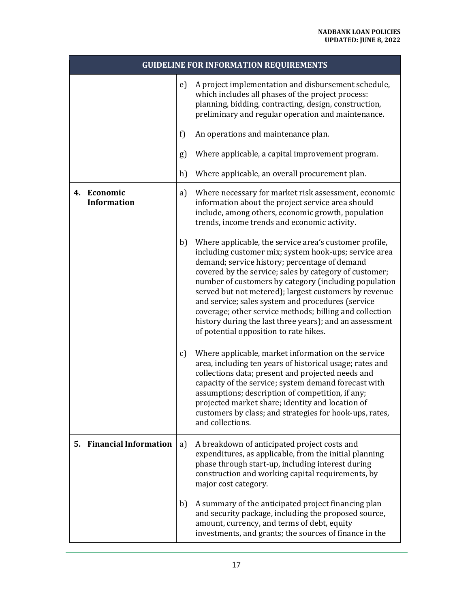| <b>GUIDELINE FOR INFORMATION REQUIREMENTS</b> |    |                                                                                                                                                                                                                                                                                                                                                                                                                                                                                                                                                                   |
|-----------------------------------------------|----|-------------------------------------------------------------------------------------------------------------------------------------------------------------------------------------------------------------------------------------------------------------------------------------------------------------------------------------------------------------------------------------------------------------------------------------------------------------------------------------------------------------------------------------------------------------------|
|                                               | e) | A project implementation and disbursement schedule,<br>which includes all phases of the project process:<br>planning, bidding, contracting, design, construction,<br>preliminary and regular operation and maintenance.                                                                                                                                                                                                                                                                                                                                           |
|                                               | f) | An operations and maintenance plan.                                                                                                                                                                                                                                                                                                                                                                                                                                                                                                                               |
|                                               | g) | Where applicable, a capital improvement program.                                                                                                                                                                                                                                                                                                                                                                                                                                                                                                                  |
|                                               | h) | Where applicable, an overall procurement plan.                                                                                                                                                                                                                                                                                                                                                                                                                                                                                                                    |
| 4. Economic<br><b>Information</b>             | a) | Where necessary for market risk assessment, economic<br>information about the project service area should<br>include, among others, economic growth, population<br>trends, income trends and economic activity.                                                                                                                                                                                                                                                                                                                                                   |
|                                               | b) | Where applicable, the service area's customer profile,<br>including customer mix; system hook-ups; service area<br>demand; service history; percentage of demand<br>covered by the service; sales by category of customer;<br>number of customers by category (including population<br>served but not metered); largest customers by revenue<br>and service; sales system and procedures (service<br>coverage; other service methods; billing and collection<br>history during the last three years); and an assessment<br>of potential opposition to rate hikes. |
|                                               | c) | Where applicable, market information on the service<br>area, including ten years of historical usage; rates and<br>collections data; present and projected needs and<br>capacity of the service; system demand forecast with<br>assumptions; description of competition, if any;<br>projected market share; identity and location of<br>customers by class; and strategies for hook-ups, rates,<br>and collections.                                                                                                                                               |
| 5. Financial Information                      | a) | A breakdown of anticipated project costs and<br>expenditures, as applicable, from the initial planning<br>phase through start-up, including interest during<br>construction and working capital requirements, by<br>major cost category.                                                                                                                                                                                                                                                                                                                          |
|                                               | b) | A summary of the anticipated project financing plan<br>and security package, including the proposed source,<br>amount, currency, and terms of debt, equity<br>investments, and grants; the sources of finance in the                                                                                                                                                                                                                                                                                                                                              |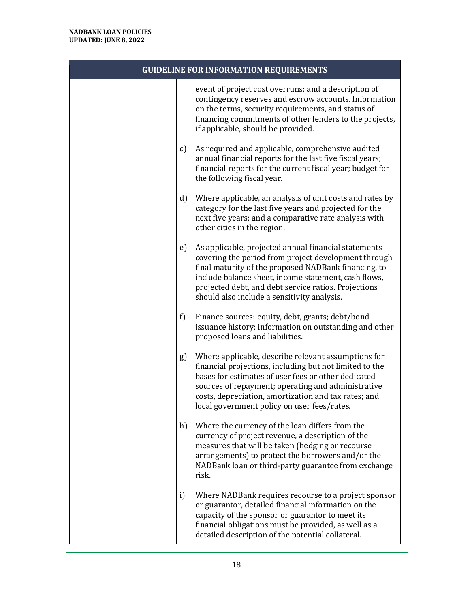|              | <b>GUIDELINE FOR INFORMATION REQUIREMENTS</b>                                                                                                                                                                                                                                                                                       |
|--------------|-------------------------------------------------------------------------------------------------------------------------------------------------------------------------------------------------------------------------------------------------------------------------------------------------------------------------------------|
|              | event of project cost overruns; and a description of<br>contingency reserves and escrow accounts. Information<br>on the terms, security requirements, and status of<br>financing commitments of other lenders to the projects,<br>if applicable, should be provided.                                                                |
| $\mathbf{c}$ | As required and applicable, comprehensive audited<br>annual financial reports for the last five fiscal years;<br>financial reports for the current fiscal year; budget for<br>the following fiscal year.                                                                                                                            |
| d)           | Where applicable, an analysis of unit costs and rates by<br>category for the last five years and projected for the<br>next five years; and a comparative rate analysis with<br>other cities in the region.                                                                                                                          |
| e)           | As applicable, projected annual financial statements<br>covering the period from project development through<br>final maturity of the proposed NADBank financing, to<br>include balance sheet, income statement, cash flows,<br>projected debt, and debt service ratios. Projections<br>should also include a sensitivity analysis. |
| f)           | Finance sources: equity, debt, grants; debt/bond<br>issuance history; information on outstanding and other<br>proposed loans and liabilities.                                                                                                                                                                                       |
| g)           | Where applicable, describe relevant assumptions for<br>financial projections, including but not limited to the<br>bases for estimates of user fees or other dedicated<br>sources of repayment; operating and administrative<br>costs, depreciation, amortization and tax rates; and<br>local government policy on user fees/rates.  |
| h)           | Where the currency of the loan differs from the<br>currency of project revenue, a description of the<br>measures that will be taken (hedging or recourse<br>arrangements) to protect the borrowers and/or the<br>NADBank loan or third-party guarantee from exchange<br>risk.                                                       |
| i)           | Where NADBank requires recourse to a project sponsor<br>or guarantor, detailed financial information on the<br>capacity of the sponsor or guarantor to meet its<br>financial obligations must be provided, as well as a<br>detailed description of the potential collateral.                                                        |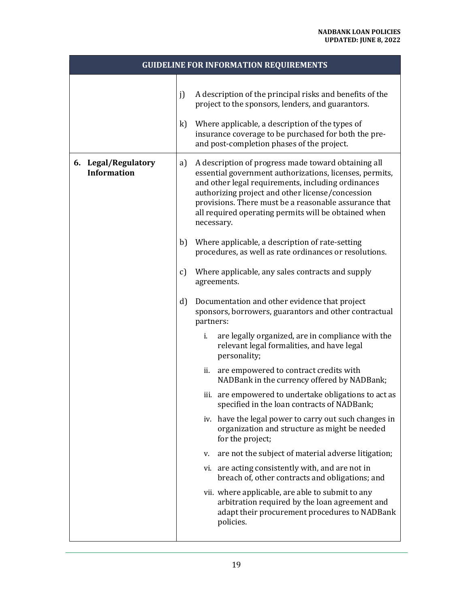| <b>GUIDELINE FOR INFORMATION REQUIREMENTS</b> |              |                                                                                                                                                                                                                                                                                                                                                                                                            |  |  |
|-----------------------------------------------|--------------|------------------------------------------------------------------------------------------------------------------------------------------------------------------------------------------------------------------------------------------------------------------------------------------------------------------------------------------------------------------------------------------------------------|--|--|
|                                               | j)<br>k)     | A description of the principal risks and benefits of the<br>project to the sponsors, lenders, and guarantors.<br>Where applicable, a description of the types of<br>insurance coverage to be purchased for both the pre-<br>and post-completion phases of the project.                                                                                                                                     |  |  |
| 6. Legal/Regulatory<br><b>Information</b>     | a)<br>b)     | A description of progress made toward obtaining all<br>essential government authorizations, licenses, permits,<br>and other legal requirements, including ordinances<br>authorizing project and other license/concession<br>provisions. There must be a reasonable assurance that<br>all required operating permits will be obtained when<br>necessary.<br>Where applicable, a description of rate-setting |  |  |
|                                               | c)           | procedures, as well as rate ordinances or resolutions.<br>Where applicable, any sales contracts and supply<br>agreements.                                                                                                                                                                                                                                                                                  |  |  |
|                                               | $\mathbf{d}$ | Documentation and other evidence that project<br>sponsors, borrowers, guarantors and other contractual<br>partners:                                                                                                                                                                                                                                                                                        |  |  |
|                                               |              | are legally organized, are in compliance with the<br>i.<br>relevant legal formalities, and have legal<br>personality;                                                                                                                                                                                                                                                                                      |  |  |
|                                               |              | are empowered to contract credits with<br>ii.<br>NADBank in the currency offered by NADBank;                                                                                                                                                                                                                                                                                                               |  |  |
|                                               |              | iii. are empowered to undertake obligations to act as<br>specified in the loan contracts of NADBank;                                                                                                                                                                                                                                                                                                       |  |  |
|                                               |              | iv. have the legal power to carry out such changes in<br>organization and structure as might be needed<br>for the project;                                                                                                                                                                                                                                                                                 |  |  |
|                                               |              | are not the subject of material adverse litigation;<br>V.                                                                                                                                                                                                                                                                                                                                                  |  |  |
|                                               |              | vi. are acting consistently with, and are not in<br>breach of, other contracts and obligations; and                                                                                                                                                                                                                                                                                                        |  |  |
|                                               |              | vii. where applicable, are able to submit to any<br>arbitration required by the loan agreement and<br>adapt their procurement procedures to NADBank<br>policies.                                                                                                                                                                                                                                           |  |  |
|                                               |              |                                                                                                                                                                                                                                                                                                                                                                                                            |  |  |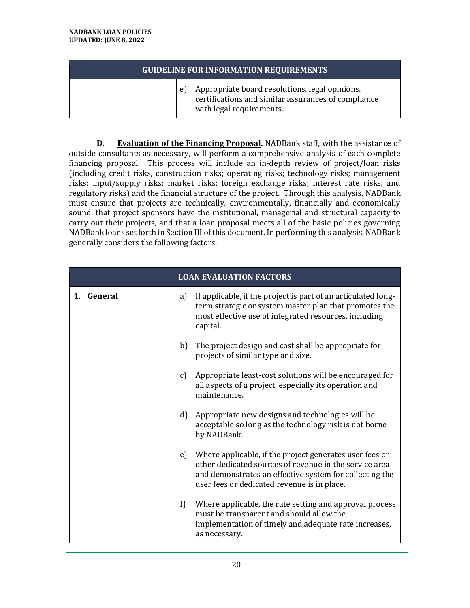#### **GUIDELINE FOR INFORMATION REQUIREMENTS**

e) Appropriate board resolutions, legal opinions, certifications and similar assurances of compliance with legal requirements.

**D. Evaluation of the Financing Proposal.** NADBank staff, with the assistance of outside consultants as necessary, will perform a comprehensive analysis of each complete financing proposal. This process will include an in-depth review of project/loan risks (including credit risks, construction risks; operating risks; technology risks; management risks; input/supply risks; market risks; foreign exchange risks; interest rate risks, and regulatory risks) and the financial structure of the project. Through this analysis, NADBank must ensure that projects are technically, environmentally, financially and economically sound, that project sponsors have the institutional, managerial and structural capacity to carry out their projects, and that a loan proposal meets all of the basic policies governing NADBank loans set forth in Section III of this document. In performing this analysis, NADBank generally considers the following factors.

|            | <b>LOAN EVALUATION FACTORS</b>                                                                                                                                                                                                    |
|------------|-----------------------------------------------------------------------------------------------------------------------------------------------------------------------------------------------------------------------------------|
| 1. General | If applicable, if the project is part of an articulated long-<br>a)<br>term strategic or system master plan that promotes the<br>most effective use of integrated resources, including<br>capital.                                |
|            | b)<br>The project design and cost shall be appropriate for<br>projects of similar type and size.                                                                                                                                  |
|            | Appropriate least-cost solutions will be encouraged for<br>c)<br>all aspects of a project, especially its operation and<br>maintenance.                                                                                           |
|            | $\mathbf{d}$<br>Appropriate new designs and technologies will be<br>acceptable so long as the technology risk is not borne<br>by NADBank.                                                                                         |
|            | Where applicable, if the project generates user fees or<br>e)<br>other dedicated sources of revenue in the service area<br>and demonstrates an effective system for collecting the<br>user fees or dedicated revenue is in place. |
|            | Where applicable, the rate setting and approval process<br>f)<br>must be transparent and should allow the<br>implementation of timely and adequate rate increases,<br>as necessary.                                               |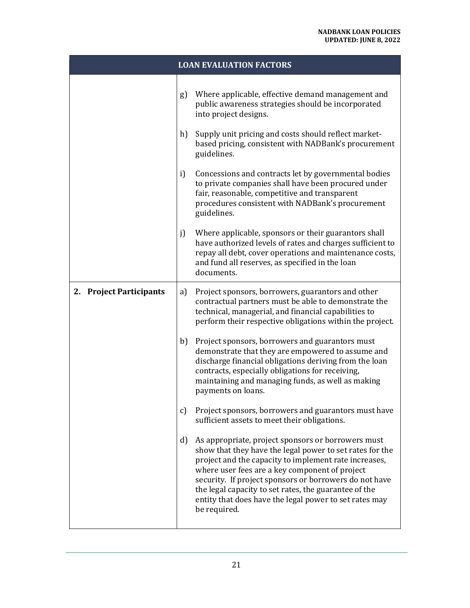|                         |    | <b>LOAN EVALUATION FACTORS</b>                                                                                                                                                                                                                                                                                                                                                                                         |
|-------------------------|----|------------------------------------------------------------------------------------------------------------------------------------------------------------------------------------------------------------------------------------------------------------------------------------------------------------------------------------------------------------------------------------------------------------------------|
|                         | g) | Where applicable, effective demand management and<br>public awareness strategies should be incorporated<br>into project designs.                                                                                                                                                                                                                                                                                       |
|                         | h) | Supply unit pricing and costs should reflect market-<br>based pricing, consistent with NADBank's procurement<br>guidelines.                                                                                                                                                                                                                                                                                            |
|                         | i) | Concessions and contracts let by governmental bodies<br>to private companies shall have been procured under<br>fair, reasonable, competitive and transparent<br>procedures consistent with NADBank's procurement<br>guidelines.                                                                                                                                                                                        |
|                         | j) | Where applicable, sponsors or their guarantors shall<br>have authorized levels of rates and charges sufficient to<br>repay all debt, cover operations and maintenance costs,<br>and fund all reserves, as specified in the loan<br>documents.                                                                                                                                                                          |
| 2. Project Participants | a) | Project sponsors, borrowers, guarantors and other<br>contractual partners must be able to demonstrate the<br>technical, managerial, and financial capabilities to<br>perform their respective obligations within the project.                                                                                                                                                                                          |
|                         | b) | Project sponsors, borrowers and guarantors must<br>demonstrate that they are empowered to assume and<br>discharge financial obligations deriving from the loan<br>contracts, especially obligations for receiving,<br>maintaining and managing funds, as well as making<br>payments on loans.                                                                                                                          |
|                         | c) | Project sponsors, borrowers and guarantors must have<br>sufficient assets to meet their obligations.                                                                                                                                                                                                                                                                                                                   |
|                         | d) | As appropriate, project sponsors or borrowers must<br>show that they have the legal power to set rates for the<br>project and the capacity to implement rate increases,<br>where user fees are a key component of project<br>security. If project sponsors or borrowers do not have<br>the legal capacity to set rates, the guarantee of the<br>entity that does have the legal power to set rates may<br>be required. |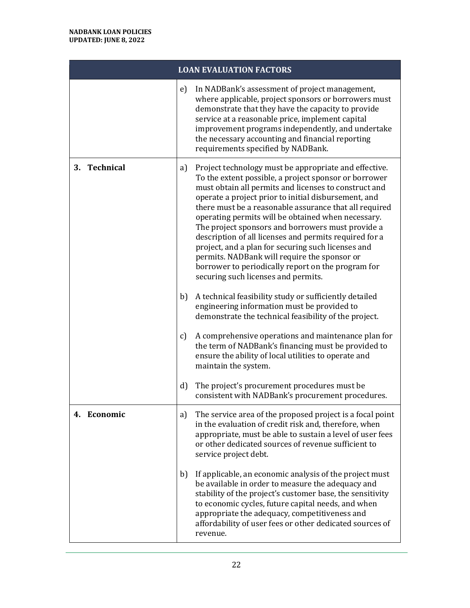|              | <b>LOAN EVALUATION FACTORS</b>                                                                                                                                                                                                                                                                                                                                                                                                                                                                                                                                                                                                                                          |
|--------------|-------------------------------------------------------------------------------------------------------------------------------------------------------------------------------------------------------------------------------------------------------------------------------------------------------------------------------------------------------------------------------------------------------------------------------------------------------------------------------------------------------------------------------------------------------------------------------------------------------------------------------------------------------------------------|
|              | In NADBank's assessment of project management,<br>e)<br>where applicable, project sponsors or borrowers must<br>demonstrate that they have the capacity to provide<br>service at a reasonable price, implement capital<br>improvement programs independently, and undertake<br>the necessary accounting and financial reporting<br>requirements specified by NADBank.                                                                                                                                                                                                                                                                                                   |
| 3. Technical | Project technology must be appropriate and effective.<br>a)<br>To the extent possible, a project sponsor or borrower<br>must obtain all permits and licenses to construct and<br>operate a project prior to initial disbursement, and<br>there must be a reasonable assurance that all required<br>operating permits will be obtained when necessary.<br>The project sponsors and borrowers must provide a<br>description of all licenses and permits required for a<br>project, and a plan for securing such licenses and<br>permits. NADBank will require the sponsor or<br>borrower to periodically report on the program for<br>securing such licenses and permits. |
|              | b)<br>A technical feasibility study or sufficiently detailed<br>engineering information must be provided to<br>demonstrate the technical feasibility of the project.                                                                                                                                                                                                                                                                                                                                                                                                                                                                                                    |
|              | A comprehensive operations and maintenance plan for<br>c)<br>the term of NADBank's financing must be provided to<br>ensure the ability of local utilities to operate and<br>maintain the system.                                                                                                                                                                                                                                                                                                                                                                                                                                                                        |
|              | The project's procurement procedures must be<br>d)<br>consistent with NADBank's procurement procedures.                                                                                                                                                                                                                                                                                                                                                                                                                                                                                                                                                                 |
| 4. Economic  | The service area of the proposed project is a focal point<br>a)<br>in the evaluation of credit risk and, therefore, when<br>appropriate, must be able to sustain a level of user fees<br>or other dedicated sources of revenue sufficient to<br>service project debt.                                                                                                                                                                                                                                                                                                                                                                                                   |
|              | If applicable, an economic analysis of the project must<br>b)<br>be available in order to measure the adequacy and<br>stability of the project's customer base, the sensitivity<br>to economic cycles, future capital needs, and when<br>appropriate the adequacy, competitiveness and<br>affordability of user fees or other dedicated sources of<br>revenue.                                                                                                                                                                                                                                                                                                          |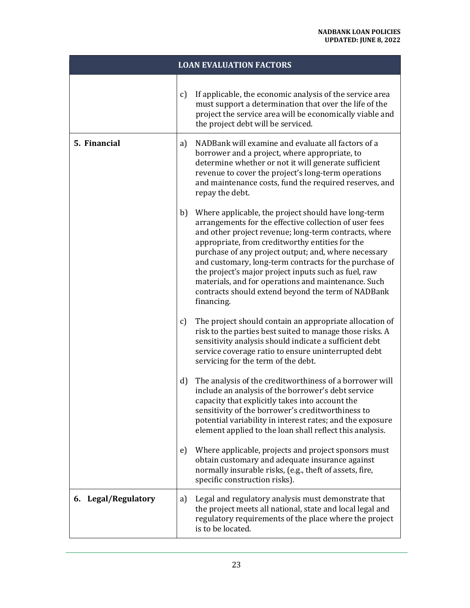|                     | <b>LOAN EVALUATION FACTORS</b>                                                                                                                                                                                                                                                                                                                                                                                                                                                                                                       |
|---------------------|--------------------------------------------------------------------------------------------------------------------------------------------------------------------------------------------------------------------------------------------------------------------------------------------------------------------------------------------------------------------------------------------------------------------------------------------------------------------------------------------------------------------------------------|
|                     | If applicable, the economic analysis of the service area<br>$\mathbf{c}$<br>must support a determination that over the life of the<br>project the service area will be economically viable and<br>the project debt will be serviced.                                                                                                                                                                                                                                                                                                 |
| 5. Financial        | NADBank will examine and evaluate all factors of a<br>a)<br>borrower and a project, where appropriate, to<br>determine whether or not it will generate sufficient<br>revenue to cover the project's long-term operations<br>and maintenance costs, fund the required reserves, and<br>repay the debt.                                                                                                                                                                                                                                |
|                     | b)<br>Where applicable, the project should have long-term<br>arrangements for the effective collection of user fees<br>and other project revenue; long-term contracts, where<br>appropriate, from creditworthy entities for the<br>purchase of any project output; and, where necessary<br>and customary, long-term contracts for the purchase of<br>the project's major project inputs such as fuel, raw<br>materials, and for operations and maintenance. Such<br>contracts should extend beyond the term of NADBank<br>financing. |
|                     | The project should contain an appropriate allocation of<br>c)<br>risk to the parties best suited to manage those risks. A<br>sensitivity analysis should indicate a sufficient debt<br>service coverage ratio to ensure uninterrupted debt<br>servicing for the term of the debt.                                                                                                                                                                                                                                                    |
|                     | $\mathbf{d}$<br>The analysis of the creditworthiness of a borrower will<br>include an analysis of the borrower's debt service<br>capacity that explicitly takes into account the<br>sensitivity of the borrower's creditworthiness to<br>potential variability in interest rates; and the exposure<br>element applied to the loan shall reflect this analysis.                                                                                                                                                                       |
|                     | Where applicable, projects and project sponsors must<br>e)<br>obtain customary and adequate insurance against<br>normally insurable risks, (e.g., theft of assets, fire,<br>specific construction risks).                                                                                                                                                                                                                                                                                                                            |
| 6. Legal/Regulatory | Legal and regulatory analysis must demonstrate that<br>a)<br>the project meets all national, state and local legal and<br>regulatory requirements of the place where the project<br>is to be located.                                                                                                                                                                                                                                                                                                                                |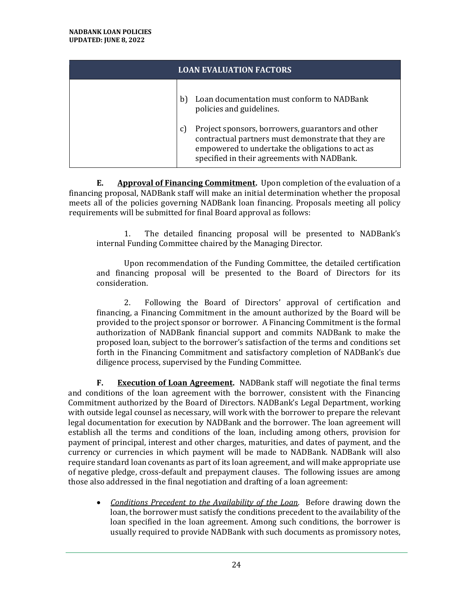| <b>LOAN EVALUATION FACTORS</b> |                                                                                                                                                                                                                   |
|--------------------------------|-------------------------------------------------------------------------------------------------------------------------------------------------------------------------------------------------------------------|
|                                | Loan documentation must conform to NADBank<br>b)<br>policies and guidelines.                                                                                                                                      |
|                                | Project sponsors, borrowers, guarantors and other<br>C)<br>contractual partners must demonstrate that they are<br>empowered to undertake the obligations to act as<br>specified in their agreements with NADBank. |

<span id="page-27-0"></span>**E. Approval of Financing Commitment.** Upon completion of the evaluation of a financing proposal, NADBank staff will make an initial determination whether the proposal meets all of the policies governing NADBank loan financing. Proposals meeting all policy requirements will be submitted for final Board approval as follows:

1. The detailed financing proposal will be presented to NADBank's internal Funding Committee chaired by the Managing Director.

Upon recommendation of the Funding Committee, the detailed certification and financing proposal will be presented to the Board of Directors for its consideration.

2. Following the Board of Directors' approval of certification and financing, a Financing Commitment in the amount authorized by the Board will be provided to the project sponsor or borrower. A Financing Commitment is the formal authorization of NADBank financial support and commits NADBank to make the proposed loan, subject to the borrower's satisfaction of the terms and conditions set forth in the Financing Commitment and satisfactory completion of NADBank's due diligence process, supervised by the Funding Committee.

<span id="page-27-1"></span>**F. Execution of Loan Agreement.** NADBank staff will negotiate the final terms and conditions of the loan agreement with the borrower, consistent with the Financing Commitment authorized by the Board of Directors. NADBank's Legal Department, working with outside legal counsel as necessary, will work with the borrower to prepare the relevant legal documentation for execution by NADBank and the borrower. The loan agreement will establish all the terms and conditions of the loan, including among others, provision for payment of principal, interest and other charges, maturities, and dates of payment, and the currency or currencies in which payment will be made to NADBank. NADBank will also require standard loan covenants as part of its loan agreement, and will make appropriate use of negative pledge, cross-default and prepayment clauses. The following issues are among those also addressed in the final negotiation and drafting of a loan agreement:

• *Conditions Precedent to the Availability of the Loan*. Before drawing down the loan, the borrower must satisfy the conditions precedent to the availability of the loan specified in the loan agreement. Among such conditions, the borrower is usually required to provide NADBank with such documents as promissory notes,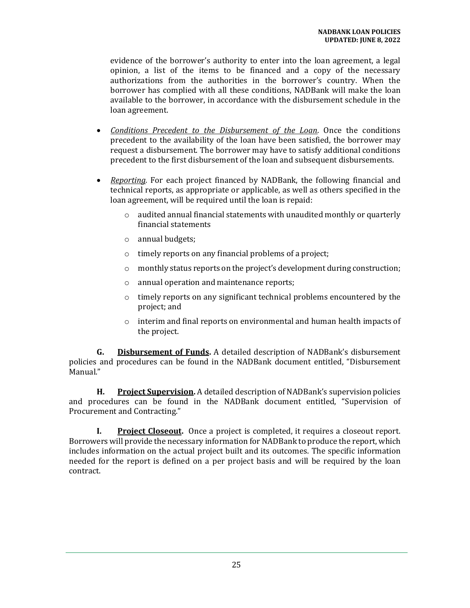evidence of the borrower's authority to enter into the loan agreement, a legal opinion, a list of the items to be financed and a copy of the necessary authorizations from the authorities in the borrower's country. When the borrower has complied with all these conditions, NADBank will make the loan available to the borrower, in accordance with the disbursement schedule in the loan agreement.

- *Conditions Precedent to the Disbursement of the Loan*. Once the conditions precedent to the availability of the loan have been satisfied, the borrower may request a disbursement. The borrower may have to satisfy additional conditions precedent to the first disbursement of the loan and subsequent disbursements.
- *Reporting.* For each project financed by NADBank, the following financial and technical reports, as appropriate or applicable, as well as others specified in the loan agreement, will be required until the loan is repaid:
	- o audited annual financial statements with unaudited monthly or quarterly financial statements
	- o annual budgets;
	- o timely reports on any financial problems of a project;
	- $\circ$  monthly status reports on the project's development during construction;
	- o annual operation and maintenance reports;
	- o timely reports on any significant technical problems encountered by the project; and
	- o interim and final reports on environmental and human health impacts of the project.

<span id="page-28-0"></span>**G. Disbursement of Funds.** A detailed description of NADBank's disbursement policies and procedures can be found in the NADBank document entitled, "Disbursement Manual."

<span id="page-28-1"></span>**H. Project Supervision.** A detailed description of NADBank's supervision policies and procedures can be found in the NADBank document entitled, "Supervision of Procurement and Contracting."

<span id="page-28-2"></span>**I. Project Closeout.** Once a project is completed, it requires a closeout report. Borrowers will provide the necessary information for NADBank to produce the report, which includes information on the actual project built and its outcomes. The specific information needed for the report is defined on a per project basis and will be required by the loan contract.